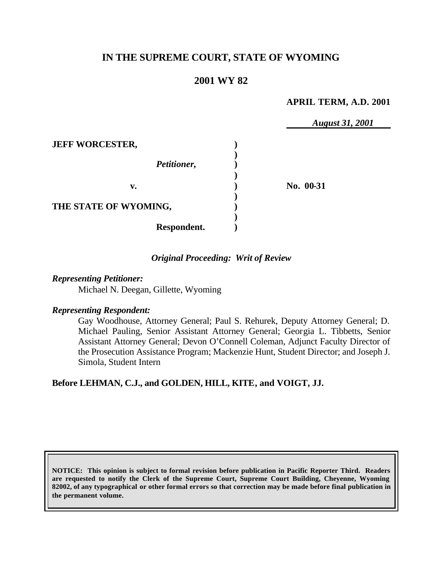# **IN THE SUPREME COURT, STATE OF WYOMING**

# **2001 WY 82**

### **APRIL TERM, A.D. 2001**

*August 31, 2001* **JEFF WORCESTER, ) )** *Petitioner,* **) ) v. ) No. 00-31 ) THE STATE OF WYOMING, ) ) Respondent. )**

### *Original Proceeding: Writ of Review*

### *Representing Petitioner:*

Michael N. Deegan, Gillette, Wyoming

### *Representing Respondent:*

Gay Woodhouse, Attorney General; Paul S. Rehurek, Deputy Attorney General; D. Michael Pauling, Senior Assistant Attorney General; Georgia L. Tibbetts, Senior Assistant Attorney General; Devon O'Connell Coleman, Adjunct Faculty Director of the Prosecution Assistance Program; Mackenzie Hunt, Student Director; and Joseph J. Simola, Student Intern

## **Before LEHMAN, C.J., and GOLDEN, HILL, KITE, and VOIGT, JJ.**

**NOTICE: This opinion is subject to formal revision before publication in Pacific Reporter Third. Readers are requested to notify the Clerk of the Supreme Court, Supreme Court Building, Cheyenne, Wyoming 82002, of any typographical or other formal errors so that correction may be made before final publication in the permanent volume.**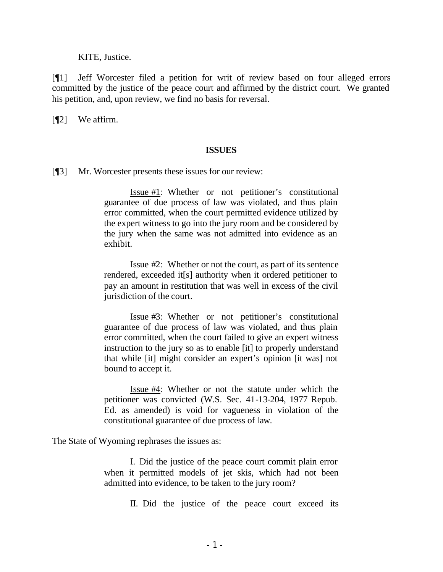KITE, Justice.

[¶1] Jeff Worcester filed a petition for writ of review based on four alleged errors committed by the justice of the peace court and affirmed by the district court. We granted his petition, and, upon review, we find no basis for reversal.

[¶2] We affirm.

#### **ISSUES**

[¶3] Mr. Worcester presents these issues for our review:

Issue #1: Whether or not petitioner's constitutional guarantee of due process of law was violated, and thus plain error committed, when the court permitted evidence utilized by the expert witness to go into the jury room and be considered by the jury when the same was not admitted into evidence as an exhibit.

Issue #2: Whether or not the court, as part of its sentence rendered, exceeded it[s] authority when it ordered petitioner to pay an amount in restitution that was well in excess of the civil jurisdiction of the court.

Issue #3: Whether or not petitioner's constitutional guarantee of due process of law was violated, and thus plain error committed, when the court failed to give an expert witness instruction to the jury so as to enable [it] to properly understand that while [it] might consider an expert's opinion [it was] not bound to accept it.

Issue #4: Whether or not the statute under which the petitioner was convicted (W.S. Sec. 41-13-204, 1977 Repub. Ed. as amended) is void for vagueness in violation of the constitutional guarantee of due process of law.

The State of Wyoming rephrases the issues as:

I. Did the justice of the peace court commit plain error when it permitted models of jet skis, which had not been admitted into evidence, to be taken to the jury room?

II. Did the justice of the peace court exceed its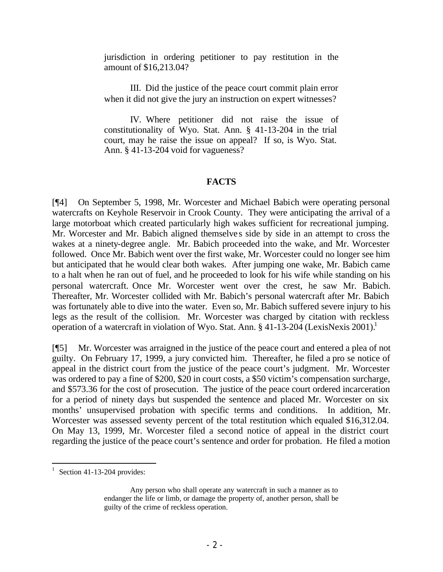jurisdiction in ordering petitioner to pay restitution in the amount of \$16,213.04?

III. Did the justice of the peace court commit plain error when it did not give the jury an instruction on expert witnesses?

IV. Where petitioner did not raise the issue of constitutionality of Wyo. Stat. Ann. § 41-13-204 in the trial court, may he raise the issue on appeal? If so, is Wyo. Stat. Ann. § 41-13-204 void for vagueness?

### **FACTS**

[¶4] On September 5, 1998, Mr. Worcester and Michael Babich were operating personal watercrafts on Keyhole Reservoir in Crook County. They were anticipating the arrival of a large motorboat which created particularly high wakes sufficient for recreational jumping. Mr. Worcester and Mr. Babich aligned themselves side by side in an attempt to cross the wakes at a ninety-degree angle. Mr. Babich proceeded into the wake, and Mr. Worcester followed. Once Mr. Babich went over the first wake, Mr. Worcester could no longer see him but anticipated that he would clear both wakes. After jumping one wake, Mr. Babich came to a halt when he ran out of fuel, and he proceeded to look for his wife while standing on his personal watercraft. Once Mr. Worcester went over the crest, he saw Mr. Babich. Thereafter, Mr. Worcester collided with Mr. Babich's personal watercraft after Mr. Babich was fortunately able to dive into the water. Even so, Mr. Babich suffered severe injury to his legs as the result of the collision. Mr. Worcester was charged by citation with reckless operation of a watercraft in violation of Wyo. Stat. Ann.  $\S 41-13-204$  (LexisNexis 2001).<sup>1</sup>

[¶5] Mr. Worcester was arraigned in the justice of the peace court and entered a plea of not guilty. On February 17, 1999, a jury convicted him. Thereafter, he filed a pro se notice of appeal in the district court from the justice of the peace court's judgment. Mr. Worcester was ordered to pay a fine of \$200, \$20 in court costs, a \$50 victim's compensation surcharge, and \$573.36 for the cost of prosecution. The justice of the peace court ordered incarceration for a period of ninety days but suspended the sentence and placed Mr. Worcester on six months' unsupervised probation with specific terms and conditions. In addition, Mr. Worcester was assessed seventy percent of the total restitution which equaled \$16,312.04. On May 13, 1999, Mr. Worcester filed a second notice of appeal in the district court regarding the justice of the peace court's sentence and order for probation. He filed a motion

<sup>1</sup> Section 41-13-204 provides:

Any person who shall operate any watercraft in such a manner as to endanger the life or limb, or damage the property of, another person, shall be guilty of the crime of reckless operation.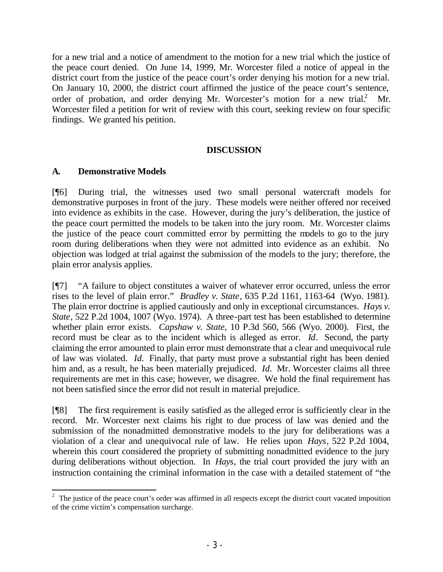for a new trial and a notice of amendment to the motion for a new trial which the justice of the peace court denied. On June 14, 1999, Mr. Worcester filed a notice of appeal in the district court from the justice of the peace court's order denying his motion for a new trial. On January 10, 2000, the district court affirmed the justice of the peace court's sentence, order of probation, and order denying Mr. Worcester's motion for a new trial.<sup>2</sup> Mr. Worcester filed a petition for writ of review with this court, seeking review on four specific findings. We granted his petition.

## **DISCUSSION**

## **A. Demonstrative Models**

[¶6] During trial, the witnesses used two small personal watercraft models for demonstrative purposes in front of the jury. These models were neither offered nor received into evidence as exhibits in the case. However, during the jury's deliberation, the justice of the peace court permitted the models to be taken into the jury room. Mr. Worcester claims the justice of the peace court committed error by permitting the models to go to the jury room during deliberations when they were not admitted into evidence as an exhibit. No objection was lodged at trial against the submission of the models to the jury; therefore, the plain error analysis applies.

[¶7] "A failure to object constitutes a waiver of whatever error occurred, unless the error rises to the level of plain error." *Bradley v. State*, 635 P.2d 1161, 1163-64 (Wyo. 1981). The plain error doctrine is applied cautiously and only in exceptional circumstances. *Hays v. State*, 522 P.2d 1004, 1007 (Wyo. 1974). A three-part test has been established to determine whether plain error exists. *Capshaw v. State*, 10 P.3d 560, 566 (Wyo. 2000). First, the record must be clear as to the incident which is alleged as error. *Id*. Second, the party claiming the error amounted to plain error must demonstrate that a clear and unequivocal rule of law was violated. *Id.* Finally, that party must prove a substantial right has been denied him and, as a result, he has been materially prejudiced. *Id.* Mr. Worcester claims all three requirements are met in this case; however, we disagree. We hold the final requirement has not been satisfied since the error did not result in material prejudice.

[¶8] The first requirement is easily satisfied as the alleged error is sufficiently clear in the record. Mr. Worcester next claims his right to due process of law was denied and the submission of the nonadmitted demonstrative models to the jury for deliberations was a violation of a clear and unequivocal rule of law. He relies upon *Hays*, 522 P.2d 1004, wherein this court considered the propriety of submitting nonadmitted evidence to the jury during deliberations without objection. In *Hays*, the trial court provided the jury with an instruction containing the criminal information in the case with a detailed statement of "the

<sup>&</sup>lt;sup>2</sup> The justice of the peace court's order was affirmed in all respects except the district court vacated imposition of the crime victim's compensation surcharge.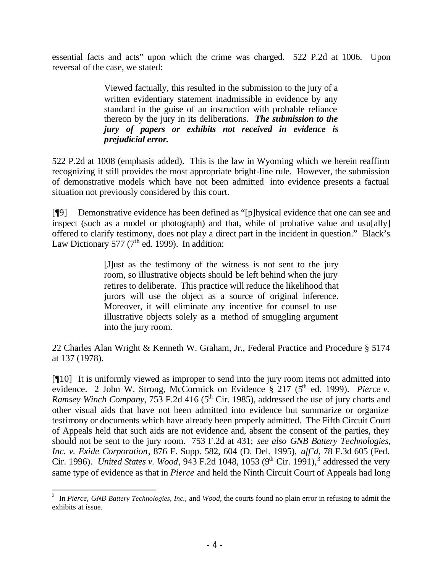essential facts and acts" upon which the crime was charged. 522 P.2d at 1006. Upon reversal of the case, we stated:

> Viewed factually, this resulted in the submission to the jury of a written evidentiary statement inadmissible in evidence by any standard in the guise of an instruction with probable reliance thereon by the jury in its deliberations. *The submission to the jury of papers or exhibits not received in evidence is prejudicial error.*

522 P.2d at 1008 (emphasis added). This is the law in Wyoming which we herein reaffirm recognizing it still provides the most appropriate bright-line rule. However, the submission of demonstrative models which have not been admitted into evidence presents a factual situation not previously considered by this court.

[¶9] Demonstrative evidence has been defined as "[p]hysical evidence that one can see and inspect (such as a model or photograph) and that, while of probative value and usufally offered to clarify testimony, does not play a direct part in the incident in question." Black's Law Dictionary 577 ( $7<sup>th</sup>$  ed. 1999). In addition:

> [J]ust as the testimony of the witness is not sent to the jury room, so illustrative objects should be left behind when the jury retires to deliberate. This practice will reduce the likelihood that jurors will use the object as a source of original inference. Moreover, it will eliminate any incentive for counsel to use illustrative objects solely as a method of smuggling argument into the jury room.

22 Charles Alan Wright & Kenneth W. Graham, Jr., Federal Practice and Procedure § 5174 at 137 (1978).

[¶10] It is uniformly viewed as improper to send into the jury room items not admitted into evidence. 2 John W. Strong, McCormick on Evidence § 217 (5<sup>th</sup> ed. 1999). *Pierce v. Ramsey Winch Company*, 753 F.2d 416 (5<sup>th</sup> Cir. 1985), addressed the use of jury charts and other visual aids that have not been admitted into evidence but summarize or organize testimony or documents which have already been properly admitted. The Fifth Circuit Court of Appeals held that such aids are not evidence and, absent the consent of the parties, they should not be sent to the jury room. 753 F.2d at 431; *see also GNB Battery Technologies, Inc. v. Exide Corporation*, 876 F. Supp. 582, 604 (D. Del. 1995), *aff'd*, 78 F.3d 605 (Fed. Cir. 1996). *United States v. Wood*, 943 F.2d 1048, 1053 (9<sup>th</sup> Cir. 1991),<sup>3</sup> addressed the very same type of evidence as that in *Pierce* and held the Ninth Circuit Court of Appeals had long

<sup>3</sup> In *Pierce*, *GNB Battery Technologies, Inc.*, and *Wood,* the courts found no plain error in refusing to admit the exhibits at issue.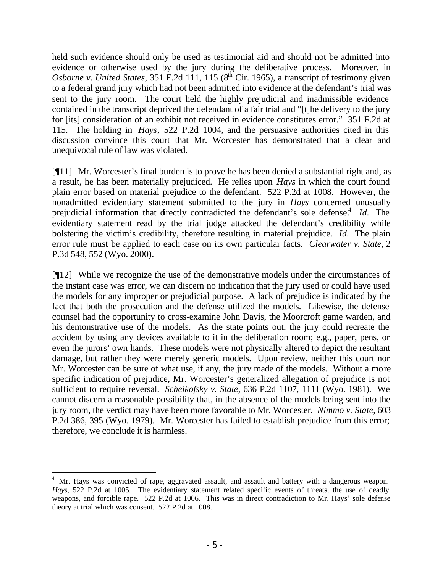held such evidence should only be used as testimonial aid and should not be admitted into evidence or otherwise used by the jury during the deliberative process. Moreover, in Osborne v. United States, 351 F.2d 111, 115 ( $8<sup>th</sup>$  Cir. 1965), a transcript of testimony given to a federal grand jury which had not been admitted into evidence at the defendant's trial was sent to the jury room. The court held the highly prejudicial and inadmissible evidence contained in the transcript deprived the defendant of a fair trial and "[t]he delivery to the jury for [its] consideration of an exhibit not received in evidence constitutes error." 351 F.2d at 115. The holding in *Hays*, 522 P.2d 1004, and the persuasive authorities cited in this discussion convince this court that Mr. Worcester has demonstrated that a clear and unequivocal rule of law was violated.

[¶11] Mr. Worcester's final burden is to prove he has been denied a substantial right and, as a result, he has been materially prejudiced. He relies upon *Hays* in which the court found plain error based on material prejudice to the defendant. 522 P.2d at 1008. However, the nonadmitted evidentiary statement submitted to the jury in *Hays* concerned unusually prejudicial information that directly contradicted the defendant's sole defense.<sup>4</sup> *Id.* The evidentiary statement read by the trial judge attacked the defendant's credibility while bolstering the victim's credibility, therefore resulting in material prejudice. *Id.* The plain error rule must be applied to each case on its own particular facts. *Clearwater v. State*, 2 P.3d 548, 552 (Wyo. 2000).

[¶12] While we recognize the use of the demonstrative models under the circumstances of the instant case was error, we can discern no indication that the jury used or could have used the models for any improper or prejudicial purpose. A lack of prejudice is indicated by the fact that both the prosecution and the defense utilized the models. Likewise, the defense counsel had the opportunity to cross-examine John Davis, the Moorcroft game warden, and his demonstrative use of the models. As the state points out, the jury could recreate the accident by using any devices available to it in the deliberation room; e.g., paper, pens, or even the jurors' own hands. These models were not physically altered to depict the resultant damage, but rather they were merely generic models. Upon review, neither this court nor Mr. Worcester can be sure of what use, if any, the jury made of the models. Without a more specific indication of prejudice, Mr. Worcester's generalized allegation of prejudice is not sufficient to require reversal. *Scheikofsky v. State*, 636 P.2d 1107, 1111 (Wyo. 1981). We cannot discern a reasonable possibility that, in the absence of the models being sent into the jury room, the verdict may have been more favorable to Mr. Worcester. *Nimmo v. State*, 603 P.2d 386, 395 (Wyo. 1979). Mr. Worcester has failed to establish prejudice from this error; therefore, we conclude it is harmless.

<sup>&</sup>lt;sup>4</sup> Mr. Hays was convicted of rape, aggravated assault, and assault and battery with a dangerous weapon. *Hays*, 522 P.2d at 1005. The evidentiary statement related specific events of threats, the use of deadly weapons, and forcible rape. 522 P.2d at 1006. This was in direct contradiction to Mr. Hays' sole defense theory at trial which was consent. 522 P.2d at 1008.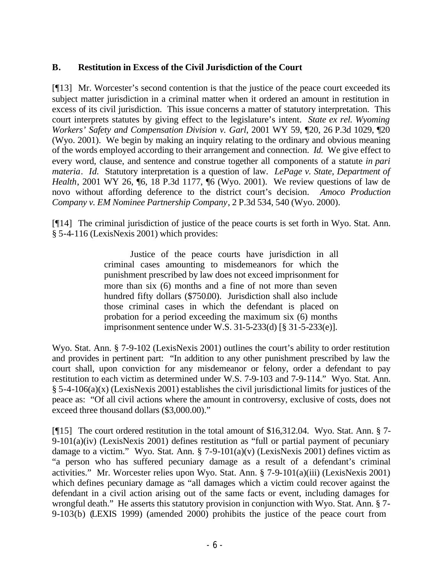## **B. Restitution in Excess of the Civil Jurisdiction of the Court**

[¶13] Mr. Worcester's second contention is that the justice of the peace court exceeded its subject matter jurisdiction in a criminal matter when it ordered an amount in restitution in excess of its civil jurisdiction. This issue concerns a matter of statutory interpretation. This court interprets statutes by giving effect to the legislature's intent. *State ex rel. Wyoming Workers' Safety and Compensation Division v. Garl*, 2001 WY 59, ¶20, 26 P.3d 1029, ¶20 (Wyo. 2001). We begin by making an inquiry relating to the ordinary and obvious meaning of the words employed according to their arrangement and connection. *Id.* We give effect to every word, clause, and sentence and construe together all components of a statute *in pari materia*. *Id.* Statutory interpretation is a question of law. *LePage v. State, Department of Health*, 2001 WY 26, ¶6, 18 P.3d 1177, ¶6 (Wyo. 2001). We review questions of law de novo without affording deference to the district court's decision. *Amoco Production Company v. EM Nominee Partnership Company*, 2 P.3d 534, 540 (Wyo. 2000).

[¶14] The criminal jurisdiction of justice of the peace courts is set forth in Wyo. Stat. Ann. § 5-4-116 (LexisNexis 2001) which provides:

> Justice of the peace courts have jurisdiction in all criminal cases amounting to misdemeanors for which the punishment prescribed by law does not exceed imprisonment for more than six (6) months and a fine of not more than seven hundred fifty dollars (\$750.00). Jurisdiction shall also include those criminal cases in which the defendant is placed on probation for a period exceeding the maximum six (6) months imprisonment sentence under W.S. 31-5-233(d) [§ 31-5-233(e)].

Wyo. Stat. Ann. § 7-9-102 (LexisNexis 2001) outlines the court's ability to order restitution and provides in pertinent part: "In addition to any other punishment prescribed by law the court shall, upon conviction for any misdemeanor or felony, order a defendant to pay restitution to each victim as determined under W.S. 7-9-103 and 7-9-114." Wyo. Stat. Ann.  $§$  5-4-106(a)(x) (LexisNexis 2001) establishes the civil jurisdictional limits for justices of the peace as: "Of all civil actions where the amount in controversy, exclusive of costs, does not exceed three thousand dollars (\$3,000.00)."

[¶15] The court ordered restitution in the total amount of \$16,312.04. Wyo. Stat. Ann. § 7- 9-101(a)(iv) (LexisNexis 2001) defines restitution as "full or partial payment of pecuniary damage to a victim." Wyo. Stat. Ann.  $\S$  7-9-101(a)(v) (LexisNexis 2001) defines victim as "a person who has suffered pecuniary damage as a result of a defendant's criminal activities." Mr. Worcester relies upon Wyo. Stat. Ann. § 7-9-101(a)(iii) (LexisNexis 2001) which defines pecuniary damage as "all damages which a victim could recover against the defendant in a civil action arising out of the same facts or event, including damages for wrongful death." He asserts this statutory provision in conjunction with Wyo. Stat. Ann. § 7- 9-103(b) (LEXIS 1999) (amended 2000) prohibits the justice of the peace court from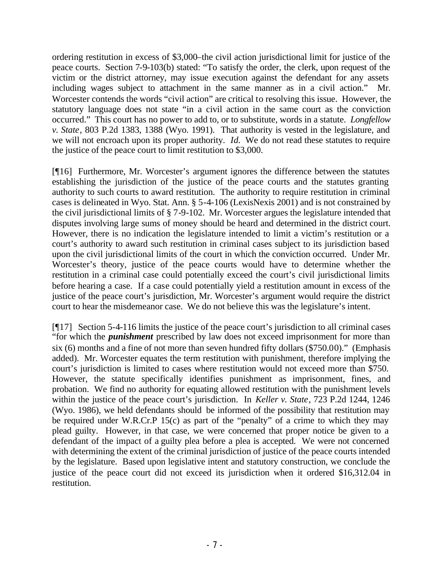ordering restitution in excess of \$3,000–the civil action jurisdictional limit for justice of the peace courts. Section 7-9-103(b) stated: "To satisfy the order, the clerk, upon request of the victim or the district attorney, may issue execution against the defendant for any assets including wages subject to attachment in the same manner as in a civil action." Mr. Worcester contends the words "civil action" are critical to resolving this issue. However, the statutory language does not state "in a civil action in the same court as the conviction occurred." This court has no power to add to, or to substitute, words in a statute. *Longfellow v. State*, 803 P.2d 1383, 1388 (Wyo. 1991). That authority is vested in the legislature, and we will not encroach upon its proper authority. *Id.* We do not read these statutes to require the justice of the peace court to limit restitution to \$3,000.

[¶16] Furthermore, Mr. Worcester's argument ignores the difference between the statutes establishing the jurisdiction of the justice of the peace courts and the statutes granting authority to such courts to award restitution. The authority to require restitution in criminal cases is delineated in Wyo. Stat. Ann. § 5-4-106 (LexisNexis 2001) and is not constrained by the civil jurisdictional limits of § 7-9-102. Mr. Worcester argues the legislature intended that disputes involving large sums of money should be heard and determined in the district court. However, there is no indication the legislature intended to limit a victim's restitution or a court's authority to award such restitution in criminal cases subject to its jurisdiction based upon the civil jurisdictional limits of the court in which the conviction occurred. Under Mr. Worcester's theory, justice of the peace courts would have to determine whether the restitution in a criminal case could potentially exceed the court's civil jurisdictional limits before hearing a case. If a case could potentially yield a restitution amount in excess of the justice of the peace court's jurisdiction, Mr. Worcester's argument would require the district court to hear the misdemeanor case. We do not believe this was the legislature's intent.

[¶17] Section 5-4-116 limits the justice of the peace court's jurisdiction to all criminal cases "for which the *punishment* prescribed by law does not exceed imprisonment for more than six (6) months and a fine of not more than seven hundred fifty dollars (\$750.00)." (Emphasis added). Mr. Worcester equates the term restitution with punishment, therefore implying the court's jurisdiction is limited to cases where restitution would not exceed more than \$750. However, the statute specifically identifies punishment as imprisonment, fines, and probation. We find no authority for equating allowed restitution with the punishment levels within the justice of the peace court's jurisdiction. In *Keller v. State*, 723 P.2d 1244, 1246 (Wyo. 1986), we held defendants should be informed of the possibility that restitution may be required under W.R.Cr.P 15(c) as part of the "penalty" of a crime to which they may plead guilty. However, in that case, we were concerned that proper notice be given to a defendant of the impact of a guilty plea before a plea is accepted. We were not concerned with determining the extent of the criminal jurisdiction of justice of the peace courts intended by the legislature. Based upon legislative intent and statutory construction, we conclude the justice of the peace court did not exceed its jurisdiction when it ordered \$16,312.04 in restitution.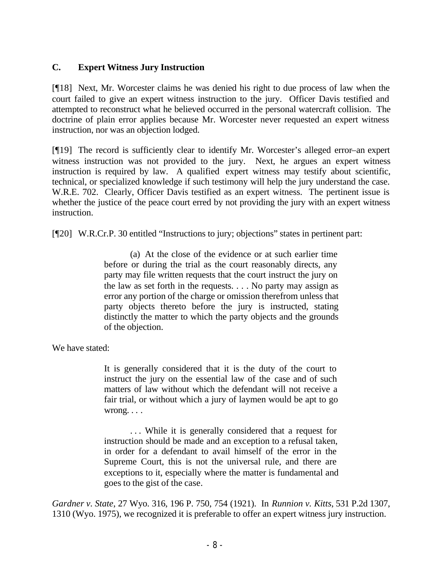## **C. Expert Witness Jury Instruction**

[¶18] Next, Mr. Worcester claims he was denied his right to due process of law when the court failed to give an expert witness instruction to the jury. Officer Davis testified and attempted to reconstruct what he believed occurred in the personal watercraft collision. The doctrine of plain error applies because Mr. Worcester never requested an expert witness instruction, nor was an objection lodged.

[¶19] The record is sufficiently clear to identify Mr. Worcester's alleged error–an expert witness instruction was not provided to the jury. Next, he argues an expert witness instruction is required by law. A qualified expert witness may testify about scientific, technical, or specialized knowledge if such testimony will help the jury understand the case. W.R.E. 702. Clearly, Officer Davis testified as an expert witness. The pertinent issue is whether the justice of the peace court erred by not providing the jury with an expert witness instruction.

[¶20] W.R.Cr.P. 30 entitled "Instructions to jury; objections" states in pertinent part:

(a) At the close of the evidence or at such earlier time before or during the trial as the court reasonably directs, any party may file written requests that the court instruct the jury on the law as set forth in the requests. . . . No party may assign as error any portion of the charge or omission therefrom unless that party objects thereto before the jury is instructed, stating distinctly the matter to which the party objects and the grounds of the objection.

We have stated:

It is generally considered that it is the duty of the court to instruct the jury on the essential law of the case and of such matters of law without which the defendant will not receive a fair trial, or without which a jury of laymen would be apt to go wrong. . . .

. . . While it is generally considered that a request for instruction should be made and an exception to a refusal taken, in order for a defendant to avail himself of the error in the Supreme Court, this is not the universal rule, and there are exceptions to it, especially where the matter is fundamental and goes to the gist of the case.

*Gardner v. State*, 27 Wyo. 316, 196 P. 750, 754 (1921). In *Runnion v. Kitts*, 531 P.2d 1307, 1310 (Wyo. 1975), we recognized it is preferable to offer an expert witness jury instruction.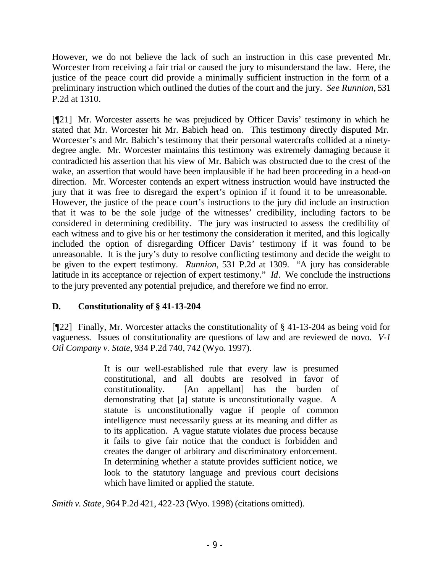However, we do not believe the lack of such an instruction in this case prevented Mr. Worcester from receiving a fair trial or caused the jury to misunderstand the law. Here, the justice of the peace court did provide a minimally sufficient instruction in the form of a preliminary instruction which outlined the duties of the court and the jury. *See Runnion,* 531 P.2d at 1310.

[¶21] Mr. Worcester asserts he was prejudiced by Officer Davis' testimony in which he stated that Mr. Worcester hit Mr. Babich head on. This testimony directly disputed Mr. Worcester's and Mr. Babich's testimony that their personal watercrafts collided at a ninetydegree angle. Mr. Worcester maintains this testimony was extremely damaging because it contradicted his assertion that his view of Mr. Babich was obstructed due to the crest of the wake, an assertion that would have been implausible if he had been proceeding in a head-on direction. Mr. Worcester contends an expert witness instruction would have instructed the jury that it was free to disregard the expert's opinion if it found it to be unreasonable. However, the justice of the peace court's instructions to the jury did include an instruction that it was to be the sole judge of the witnesses' credibility, including factors to be considered in determining credibility. The jury was instructed to assess the credibility of each witness and to give his or her testimony the consideration it merited, and this logically included the option of disregarding Officer Davis' testimony if it was found to be unreasonable. It is the jury's duty to resolve conflicting testimony and decide the weight to be given to the expert testimony. *Runnion*, 531 P.2d at 1309. "A jury has considerable latitude in its acceptance or rejection of expert testimony." *Id*. We conclude the instructions to the jury prevented any potential prejudice, and therefore we find no error.

## **D. Constitutionality of § 41-13-204**

[¶22] Finally, Mr. Worcester attacks the constitutionality of § 41-13-204 as being void for vagueness. Issues of constitutionality are questions of law and are reviewed de novo. *V-1 Oil Company v. State*, 934 P.2d 740, 742 (Wyo. 1997).

> It is our well-established rule that every law is presumed constitutional, and all doubts are resolved in favor of constitutionality. [An appellant] has the burden of demonstrating that [a] statute is unconstitutionally vague. A statute is unconstitutionally vague if people of common intelligence must necessarily guess at its meaning and differ as to its application. A vague statute violates due process because it fails to give fair notice that the conduct is forbidden and creates the danger of arbitrary and discriminatory enforcement. In determining whether a statute provides sufficient notice, we look to the statutory language and previous court decisions which have limited or applied the statute.

*Smith v. State*, 964 P.2d 421, 422-23 (Wyo. 1998) (citations omitted).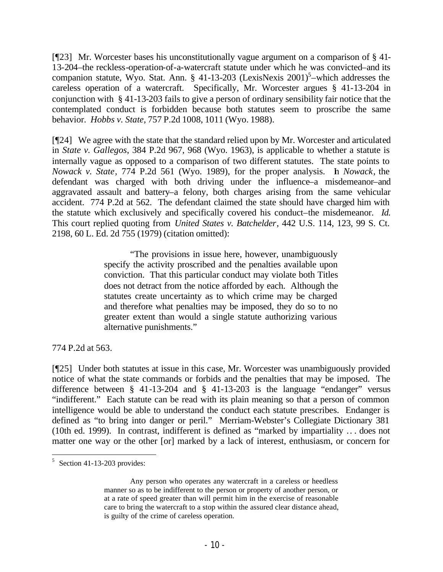[¶23] Mr. Worcester bases his unconstitutionally vague argument on a comparison of § 41- 13-204–the reckless-operation-of-a-watercraft statute under which he was convicted–and its companion statute, Wyo. Stat. Ann. § 41-13-203 (LexisNexis  $2001$ )<sup>5</sup>-which addresses the careless operation of a watercraft. Specifically, Mr. Worcester argues § 41-13-204 in conjunction with § 41-13-203 fails to give a person of ordinary sensibility fair notice that the contemplated conduct is forbidden because both statutes seem to proscribe the same behavior. *Hobbs v. State*, 757 P.2d 1008, 1011 (Wyo. 1988).

[¶24] We agree with the state that the standard relied upon by Mr. Worcester and articulated in *State v. Gallegos*, 384 P.2d 967, 968 (Wyo. 1963), is applicable to whether a statute is internally vague as opposed to a comparison of two different statutes. The state points to *Nowack v. State*, 774 P.2d 561 (Wyo. 1989), for the proper analysis. In *Nowack*, the defendant was charged with both driving under the influence–a misdemeanor–and aggravated assault and battery–a felony, both charges arising from the same vehicular accident. 774 P.2d at 562. The defendant claimed the state should have charged him with the statute which exclusively and specifically covered his conduct–the misdemeanor. *Id.*  This court replied quoting from *United States v. Batchelder*, 442 U.S. 114, 123, 99 S. Ct. 2198, 60 L. Ed. 2d 755 (1979) (citation omitted):

> "The provisions in issue here, however, unambiguously specify the activity proscribed and the penalties available upon conviction. That this particular conduct may violate both Titles does not detract from the notice afforded by each. Although the statutes create uncertainty as to which crime may be charged and therefore what penalties may be imposed, they do so to no greater extent than would a single statute authorizing various alternative punishments."

774 P.2d at 563.

[¶25] Under both statutes at issue in this case, Mr. Worcester was unambiguously provided notice of what the state commands or forbids and the penalties that may be imposed. The difference between § 41-13-204 and § 41-13-203 is the language "endanger" versus "indifferent." Each statute can be read with its plain meaning so that a person of common intelligence would be able to understand the conduct each statute prescribes. Endanger is defined as "to bring into danger or peril." Merriam-Webster's Collegiate Dictionary 381 (10th ed. 1999). In contrast, indifferent is defined as "marked by impartiality .. . does not matter one way or the other [or] marked by a lack of interest, enthusiasm, or concern for

 $5$  Section 41-13-203 provides:

Any person who operates any watercraft in a careless or heedless manner so as to be indifferent to the person or property of another person, or at a rate of speed greater than will permit him in the exercise of reasonable care to bring the watercraft to a stop within the assured clear distance ahead, is guilty of the crime of careless operation.